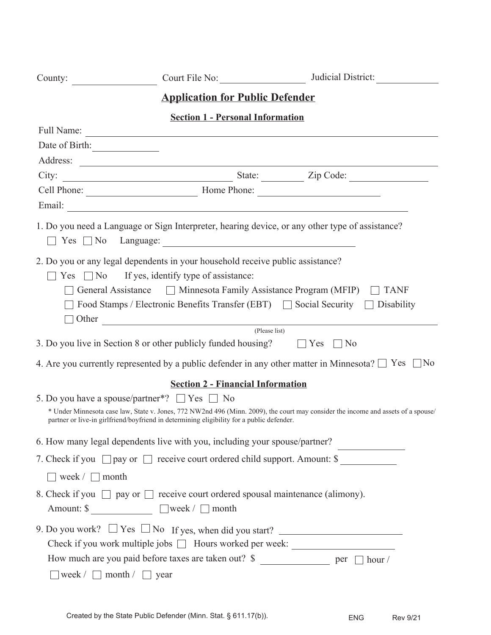| County:                                                                                                                                                                                                                                                                                                                                          |                                                                                                                     |               | Court File No: Judicial District:                                                                            |  |  |  |  |
|--------------------------------------------------------------------------------------------------------------------------------------------------------------------------------------------------------------------------------------------------------------------------------------------------------------------------------------------------|---------------------------------------------------------------------------------------------------------------------|---------------|--------------------------------------------------------------------------------------------------------------|--|--|--|--|
| <b>Application for Public Defender</b>                                                                                                                                                                                                                                                                                                           |                                                                                                                     |               |                                                                                                              |  |  |  |  |
| <b>Section 1 - Personal Information</b>                                                                                                                                                                                                                                                                                                          |                                                                                                                     |               |                                                                                                              |  |  |  |  |
| Full Name:                                                                                                                                                                                                                                                                                                                                       | <u> 1989 - Johann Barbara, martxa alemaniar argumento este alemaniar alemaniar alemaniar alemaniar alemaniar al</u> |               |                                                                                                              |  |  |  |  |
| Date of Birth:                                                                                                                                                                                                                                                                                                                                   |                                                                                                                     |               |                                                                                                              |  |  |  |  |
| Address:                                                                                                                                                                                                                                                                                                                                         |                                                                                                                     |               |                                                                                                              |  |  |  |  |
|                                                                                                                                                                                                                                                                                                                                                  |                                                                                                                     |               |                                                                                                              |  |  |  |  |
|                                                                                                                                                                                                                                                                                                                                                  |                                                                                                                     |               |                                                                                                              |  |  |  |  |
|                                                                                                                                                                                                                                                                                                                                                  |                                                                                                                     |               |                                                                                                              |  |  |  |  |
| 1. Do you need a Language or Sign Interpreter, hearing device, or any other type of assistance?                                                                                                                                                                                                                                                  |                                                                                                                     |               |                                                                                                              |  |  |  |  |
| 2. Do you or any legal dependents in your household receive public assistance?                                                                                                                                                                                                                                                                   |                                                                                                                     |               |                                                                                                              |  |  |  |  |
| Yes $\Box$ No                                                                                                                                                                                                                                                                                                                                    | If yes, identify type of assistance:                                                                                |               |                                                                                                              |  |  |  |  |
|                                                                                                                                                                                                                                                                                                                                                  | General Assistance   Minnesota Family Assistance Program (MFIP)                                                     |               | <b>TANF</b>                                                                                                  |  |  |  |  |
|                                                                                                                                                                                                                                                                                                                                                  |                                                                                                                     |               | Food Stamps / Electronic Benefits Transfer (EBT) $\Box$ Social Security $\Box$ Disability                    |  |  |  |  |
|                                                                                                                                                                                                                                                                                                                                                  |                                                                                                                     |               |                                                                                                              |  |  |  |  |
| 3. Do you live in Section 8 or other publicly funded housing? $\Box$ Yes $\Box$ No                                                                                                                                                                                                                                                               |                                                                                                                     | (Please list) |                                                                                                              |  |  |  |  |
|                                                                                                                                                                                                                                                                                                                                                  |                                                                                                                     |               | 4. Are you currently represented by a public defender in any other matter in Minnesota? $\Box$ Yes $\Box$ No |  |  |  |  |
|                                                                                                                                                                                                                                                                                                                                                  | <b>Section 2 - Financial Information</b>                                                                            |               |                                                                                                              |  |  |  |  |
| 5. Do you have a spouse/partner*? $\Box$ Yes $\Box$ No                                                                                                                                                                                                                                                                                           |                                                                                                                     |               |                                                                                                              |  |  |  |  |
| * Under Minnesota case law, State v. Jones, 772 NW2nd 496 (Minn. 2009), the court may consider the income and assets of a spouse/<br>partner or live-in girlfriend/boyfriend in determining eligibility for a public defender.                                                                                                                   |                                                                                                                     |               |                                                                                                              |  |  |  |  |
| 6. How many legal dependents live with you, including your spouse/partner?                                                                                                                                                                                                                                                                       |                                                                                                                     |               |                                                                                                              |  |  |  |  |
| 7. Check if you □ pay or □ receive court ordered child support. Amount: \$                                                                                                                                                                                                                                                                       |                                                                                                                     |               |                                                                                                              |  |  |  |  |
| $\Box$ week / $\Box$ month                                                                                                                                                                                                                                                                                                                       |                                                                                                                     |               |                                                                                                              |  |  |  |  |
| 8. Check if you $\Box$ pay or $\Box$ receive court ordered spousal maintenance (alimony).<br>$\begin{tabular}{c} Amount: \ \$\textcolor{red}{\textbf{\textcolor{blue}{\bf 5}}} \end{tabular} \begin{tabular}{c} \textbf{\textcolor{blue}{\bf 1}} \end{tabular} \begin{tabular}{c} \textbf{\textcolor{blue}{\bf 2} \end{tabular} } \end{tabular}$ |                                                                                                                     |               |                                                                                                              |  |  |  |  |
|                                                                                                                                                                                                                                                                                                                                                  |                                                                                                                     |               |                                                                                                              |  |  |  |  |
|                                                                                                                                                                                                                                                                                                                                                  |                                                                                                                     |               |                                                                                                              |  |  |  |  |
| How much are you paid before taxes are taken out? $\frac{1}{2}$ per $\Box$ hour /                                                                                                                                                                                                                                                                |                                                                                                                     |               |                                                                                                              |  |  |  |  |
| week / $\Box$ month / $\Box$ year                                                                                                                                                                                                                                                                                                                |                                                                                                                     |               |                                                                                                              |  |  |  |  |